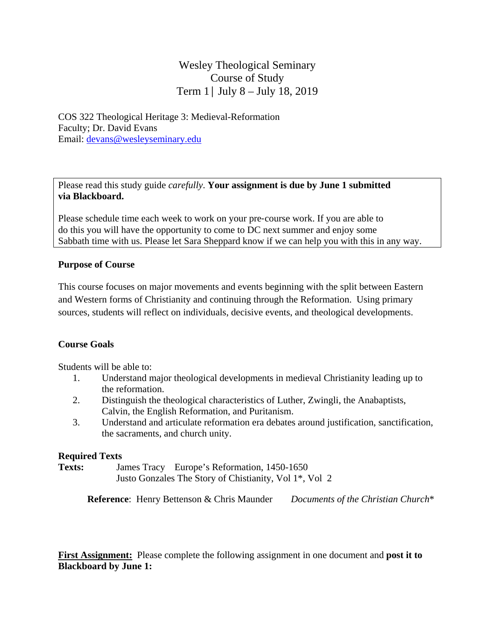# Wesley Theological Seminary Course of Study Term 1│ July 8 – July 18, 2019

COS 322 Theological Heritage 3: Medieval-Reformation Faculty; Dr. David Evans Email: devans@wesleyseminary.edu

Please read this study guide *carefully*. **Your assignment is due by June 1 submitted via Blackboard.** 

Please schedule time each week to work on your pre‐course work. If you are able to do this you will have the opportunity to come to DC next summer and enjoy some Sabbath time with us. Please let Sara Sheppard know if we can help you with this in any way.

#### **Purpose of Course**

This course focuses on major movements and events beginning with the split between Eastern and Western forms of Christianity and continuing through the Reformation. Using primary sources, students will reflect on individuals, decisive events, and theological developments.

#### **Course Goals**

Students will be able to:

- 1. Understand major theological developments in medieval Christianity leading up to the reformation.
- 2. Distinguish the theological characteristics of Luther, Zwingli, the Anabaptists, Calvin, the English Reformation, and Puritanism.
- 3. Understand and articulate reformation era debates around justification, sanctification, the sacraments, and church unity.

#### **Required Texts**

**Texts:** James Tracy Europe's Reformation, 1450-1650 Justo Gonzales The Story of Chistianity, Vol 1\*, Vol 2

 **Reference**: Henry Bettenson & Chris Maunder *Documents of the Christian Church*\*

**First Assignment:** Please complete the following assignment in one document and **post it to Blackboard by June 1:**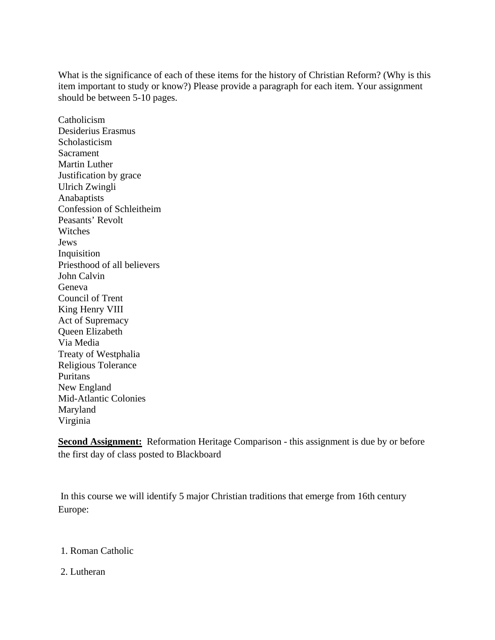What is the significance of each of these items for the history of Christian Reform? (Why is this item important to study or know?) Please provide a paragraph for each item. Your assignment should be between 5-10 pages.

Catholicism Desiderius Erasmus Scholasticism Sacrament Martin Luther Justification by grace Ulrich Zwingli Anabaptists Confession of Schleitheim Peasants' Revolt Witches Jews Inquisition Priesthood of all believers John Calvin Geneva Council of Trent King Henry VIII Act of Supremacy Queen Elizabeth Via Media Treaty of Westphalia Religious Tolerance Puritans New England Mid-Atlantic Colonies Maryland Virginia

**Second Assignment:** Reformation Heritage Comparison - this assignment is due by or before the first day of class posted to Blackboard

 In this course we will identify 5 major Christian traditions that emerge from 16th century Europe:

- 1. Roman Catholic
- 2. Lutheran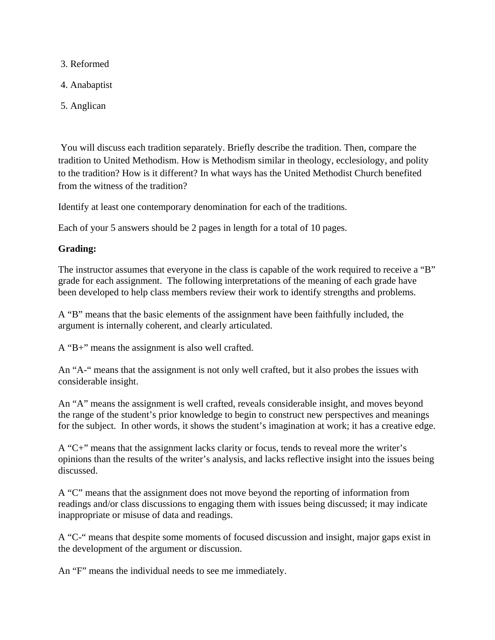3. Reformed

4. Anabaptist

5. Anglican

 You will discuss each tradition separately. Briefly describe the tradition. Then, compare the tradition to United Methodism. How is Methodism similar in theology, ecclesiology, and polity to the tradition? How is it different? In what ways has the United Methodist Church benefited from the witness of the tradition?

Identify at least one contemporary denomination for each of the traditions.

Each of your 5 answers should be 2 pages in length for a total of 10 pages.

## **Grading:**

The instructor assumes that everyone in the class is capable of the work required to receive a "B" grade for each assignment. The following interpretations of the meaning of each grade have been developed to help class members review their work to identify strengths and problems.

A "B" means that the basic elements of the assignment have been faithfully included, the argument is internally coherent, and clearly articulated.

A "B+" means the assignment is also well crafted.

An "A-" means that the assignment is not only well crafted, but it also probes the issues with considerable insight.

An "A" means the assignment is well crafted, reveals considerable insight, and moves beyond the range of the student's prior knowledge to begin to construct new perspectives and meanings for the subject. In other words, it shows the student's imagination at work; it has a creative edge.

A "C+" means that the assignment lacks clarity or focus, tends to reveal more the writer's opinions than the results of the writer's analysis, and lacks reflective insight into the issues being discussed.

A "C" means that the assignment does not move beyond the reporting of information from readings and/or class discussions to engaging them with issues being discussed; it may indicate inappropriate or misuse of data and readings.

A "C-" means that despite some moments of focused discussion and insight, major gaps exist in the development of the argument or discussion.

An "F" means the individual needs to see me immediately.